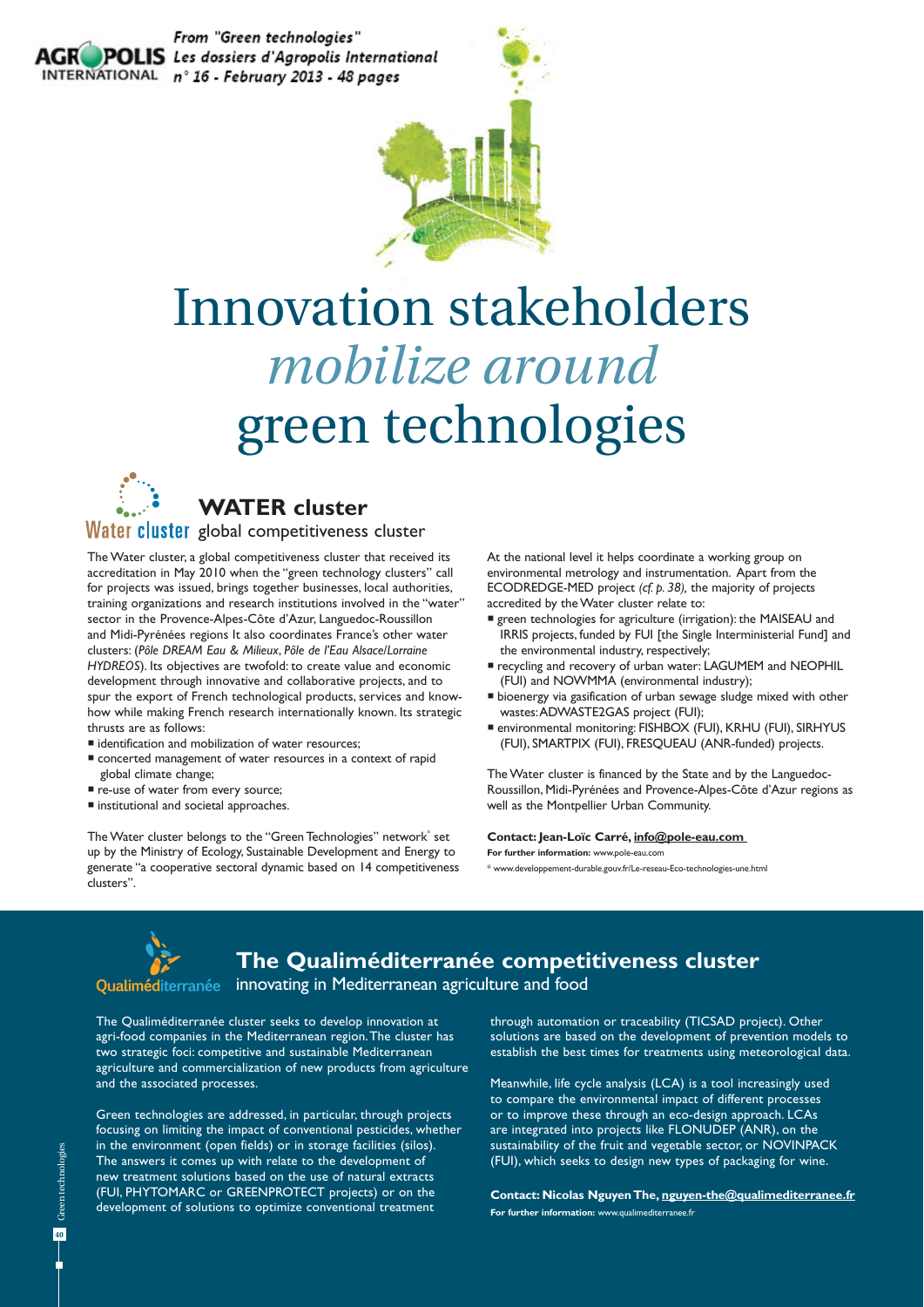



# Innovation stakeholders *mobilize around*  green technologies



### **WATER cluster**

Water cluster global competitiveness cluster

The Water cluster, a global competitiveness cluster that received its accreditation in May 2010 when the "green technology clusters" call for projects was issued, brings together businesses, local authorities, training organizations and research institutions involved in the "water" sector in the Provence-Alpes-Côte d'Azur, Languedoc-Roussillon and Midi-Pyrénées regions It also coordinates France's other water clusters: (*Pôle DREAM Eau & Milieux*, *Pôle de l'Eau Alsace*/*Lorraine HYDREOS*). Its objectives are twofold: to create value and economic development through innovative and collaborative projects, and to spur the export of French technological products, services and knowhow while making French research internationally known. Its strategic thrusts are as follows:

- identification and mobilization of water resources;
- concerted management of water resources in a context of rapid global climate change;
- re-use of water from every source;
- $\blacksquare$  institutional and societal approaches.

The Water cluster belongs to the "Green Technologies" network<sup>®</sup> set up by the Ministry of Ecology, Sustainable Development and Energy to generate "a cooperative sectoral dynamic based on 14 competitiveness clusters".

At the national level it helps coordinate a working group on environmental metrology and instrumentation. Apart from the ECODREDGE-MED project *(cf. p. 38),* the majority of projects accredited by the Water cluster relate to:

- green technologies for agriculture (irrigation): the MAISEAU and IRRIS projects, funded by FUI [the Single Interministerial Fund] and the environmental industry, respectively;
- recycling and recovery of urban water: LAGUMEM and NEOPHIL (FUI) and NOWMMA (environmental industry);
- bioenergy via gasification of urban sewage sludge mixed with other wastes: ADWASTE2GAS project (FUI);
- environmental monitoring: FISHBOX (FUI), KRHU (FUI), SIRHYUS (FUI), SMARTPIX (FUI), FRESQUEAU (ANR-funded) projects.

The Water cluster is financed by the State and by the Languedoc-Roussillon, Midi-Pyrénées and Provence-Alpes-Côte d'Azur regions as well as the Montpellier Urban Community.

#### **Contact: Jean-Loïc Carré, info@pole-eau.com**

**For further information:** www.pole-eau.com

\* www.developpement-durable.gouv.fr/Le-reseau-Eco-technologies-une.html



**The Qualiméditerranée competitiveness cluster**

innovating in Mediterranean agriculture and food

The Qualiméditerranée cluster seeks to develop innovation at agri-food companies in the Mediterranean region. The cluster has two strategic foci: competitive and sustainable Mediterranean agriculture and commercialization of new products from agriculture and the associated processes.

Green technologies are addressed, in particular, through projects focusing on limiting the impact of conventional pesticides, whether in the environment (open fields) or in storage facilities (silos). The answers it comes up with relate to the development of new treatment solutions based on the use of natural extracts (FUI, PHYTOMARC or GREENPROTECT projects) or on the development of solutions to optimize conventional treatment

through automation or traceability (TICSAD project). Other solutions are based on the development of prevention models to establish the best times for treatments using meteorological data.

Meanwhile, life cycle analysis (LCA) is a tool increasingly used to compare the environmental impact of different processes or to improve these through an eco-design approach. LCAs are integrated into projects like FLONUDEP (ANR), on the sustainability of the fruit and vegetable sector, or NOVINPACK (FUI), which seeks to design new types of packaging for wine.

**Contact: Nicolas Nguyen The, nguyen-the@qualimediterranee.fr For further information:** www.qualimediterranee.fr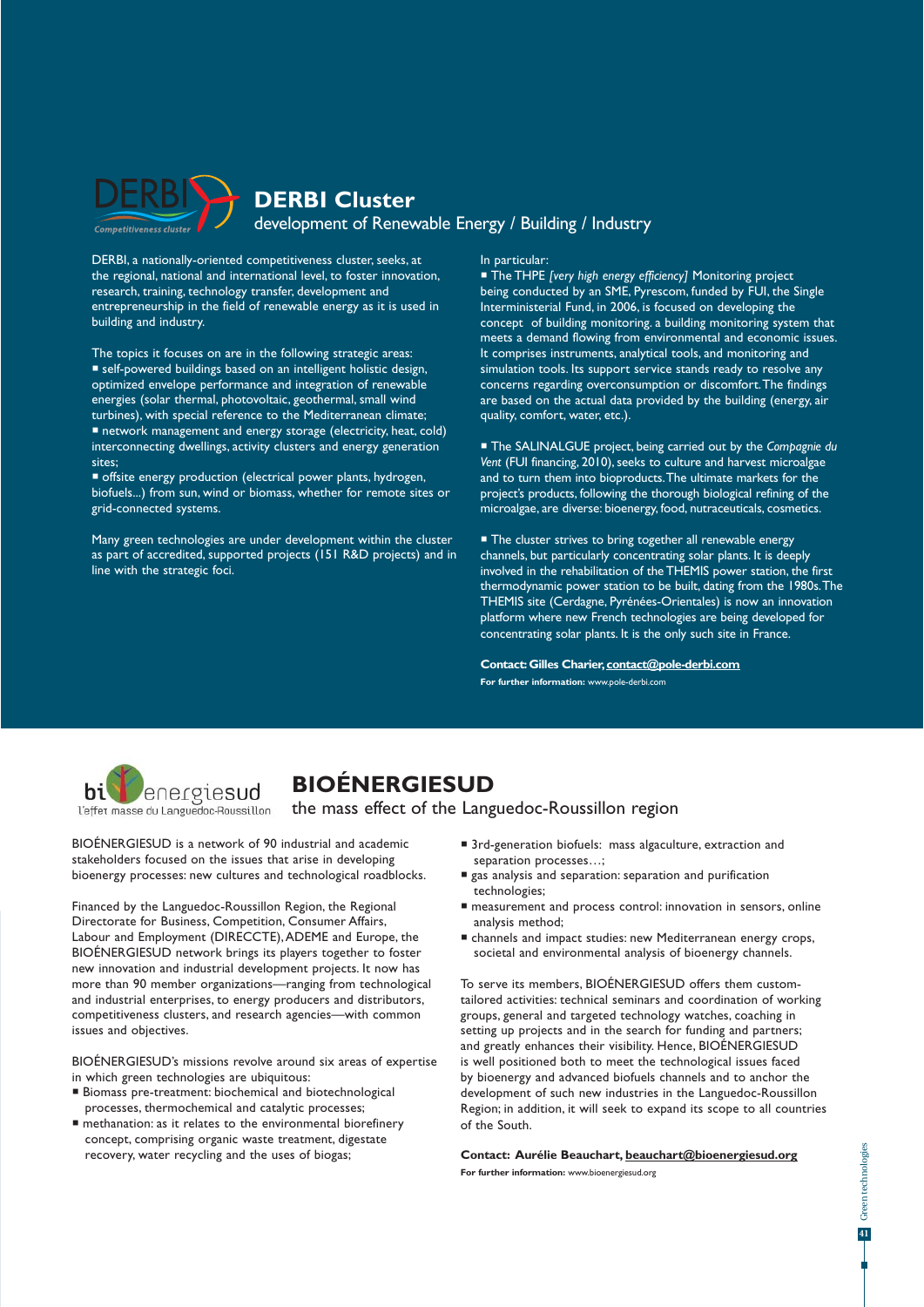

DERBI, a nationally-oriented competitiveness cluster, seeks, at the regional, national and international level, to foster innovation, research, training, technology transfer, development and entrepreneurship in the field of renewable energy as it is used in building and industry.

The topics it focuses on are in the following strategic areas: self-powered buildings based on an intelligent holistic design, optimized envelope performance and integration of renewable energies (solar thermal, photovoltaic, geothermal, small wind turbines), with special reference to the Mediterranean climate; network management and energy storage (electricity, heat, cold) interconnecting dwellings, activity clusters and energy generation sites;

 offsite energy production (electrical power plants, hydrogen, biofuels...) from sun, wind or biomass, whether for remote sites or grid-connected systems.

Many green technologies are under development within the cluster as part of accredited, supported projects (151 R&D projects) and in line with the strategic foci.

In particular:

 The THPE *[very high energy efficiency]* Monitoring project being conducted by an SME, Pyrescom, funded by FUI, the Single Interministerial Fund, in 2006, is focused on developing the concept of building monitoring. a building monitoring system that meets a demand flowing from environmental and economic issues. It comprises instruments, analytical tools, and monitoring and simulation tools. Its support service stands ready to resolve any concerns regarding overconsumption or discomfort. The findings are based on the actual data provided by the building (energy, air quality, comfort, water, etc.).

 The SALINALGUE project, being carried out by the *Compagnie du Vent* (FUI financing, 2010), seeks to culture and harvest microalgae and to turn them into bioproducts. The ultimate markets for the project's products, following the thorough biological refining of the microalgae, are diverse: bioenergy, food, nutraceuticals, cosmetics.

■ The cluster strives to bring together all renewable energy channels, but particularly concentrating solar plants. It is deeply involved in the rehabilitation of the THEMIS power station, the first thermodynamic power station to be built, dating from the 1980s. The THEMIS site (Cerdagne, Pyrénées-Orientales) is now an innovation platform where new French technologies are being developed for concentrating solar plants. It is the only such site in France.

**Contact: Gilles Charier, contact@pole-derbi.com For further information:** www.pole-derbi.com



## **BIOÉNERGIESUD**

#### the mass effect of the Languedoc-Roussillon region

BIOÉNERGIESUD is a network of 90 industrial and academic stakeholders focused on the issues that arise in developing bioenergy processes: new cultures and technological roadblocks.

Financed by the Languedoc-Roussillon Region, the Regional Directorate for Business, Competition, Consumer Affairs, Labour and Employment (DIRECCTE), ADEME and Europe, the BIOÉNERGIESUD network brings its players together to foster new innovation and industrial development projects. It now has more than 90 member organizations—ranging from technological and industrial enterprises, to energy producers and distributors, competitiveness clusters, and research agencies—with common issues and objectives.

BIOÉNERGIESUD's missions revolve around six areas of expertise in which green technologies are ubiquitous:

- Biomass pre-treatment: biochemical and biotechnological processes, thermochemical and catalytic processes;
- methanation: as it relates to the environmental biorefinery concept, comprising organic waste treatment, digestate recovery, water recycling and the uses of biogas;
- 3rd-generation biofuels: mass algaculture, extraction and separation processes…;
- gas analysis and separation: separation and purification technologies;
- measurement and process control: innovation in sensors, online analysis method;
- channels and impact studies: new Mediterranean energy crops, societal and environmental analysis of bioenergy channels.

To serve its members, BIOÉNERGIESUD offers them customtailored activities: technical seminars and coordination of working groups, general and targeted technology watches, coaching in setting up projects and in the search for funding and partners; and greatly enhances their visibility. Hence, BIOÉNERGIESUD is well positioned both to meet the technological issues faced by bioenergy and advanced biofuels channels and to anchor the development of such new industries in the Languedoc-Roussillon Region; in addition, it will seek to expand its scope to all countries of the South.

#### **Contact: Aurélie Beauchart, beauchart@bioenergiesud.org**

**For further information:** www.bioenergiesud.org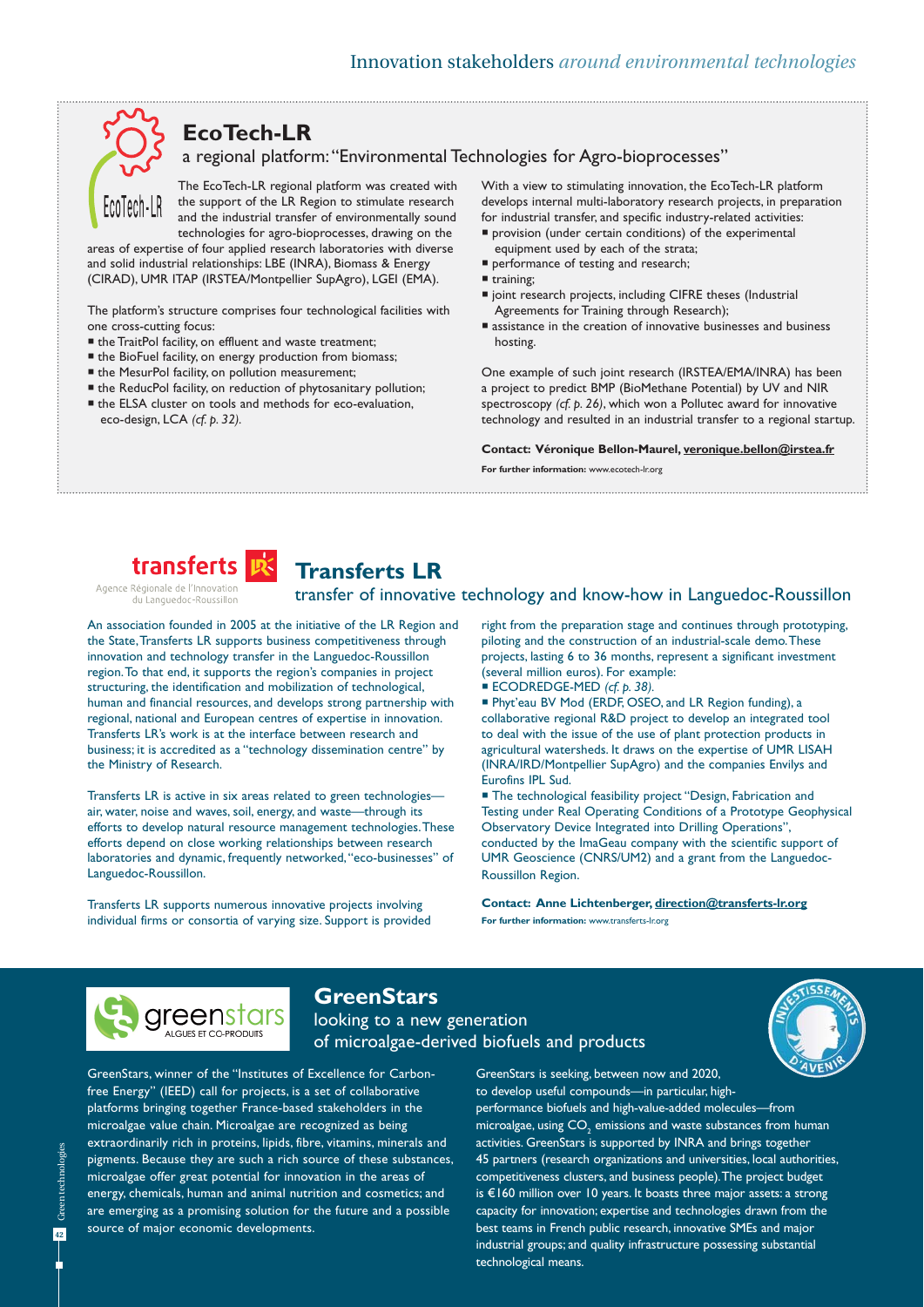# **EcoTech-LR**

a regional platform: "Environmental Technologies for Agro-bioprocesses"

The EcoTech-LR regional platform was created with the support of the LR Region to stimulate research and the industrial transfer of environmentally sound

technologies for agro-bioprocesses, drawing on the areas of expertise of four applied research laboratories with diverse and solid industrial relationships: LBE (INRA), Biomass & Energy (CIRAD), UMR ITAP (IRSTEA/Montpellier SupAgro), LGEI (EMA).

The platform's structure comprises four technological facilities with one cross-cutting focus:

- the TraitPol facility, on effluent and waste treatment;
- the BioFuel facility, on energy production from biomass;
- $\blacksquare$  the MesurPol facility, on pollution measurement;
- the ReducPol facility, on reduction of phytosanitary pollution;
- the ELSA cluster on tools and methods for eco-evaluation, eco-design, LCA *(cf. p. 32).*

With a view to stimulating innovation, the EcoTech-LR platform develops internal multi-laboratory research projects, in preparation for industrial transfer, and specific industry-related activities:

- provision (under certain conditions) of the experimental equipment used by each of the strata;
- performance of testing and research;
- training;
- joint research projects, including CIFRE theses (Industrial Agreements for Training through Research);
- assistance in the creation of innovative businesses and business hosting.

One example of such joint research (IRSTEA/EMA/INRA) has been a project to predict BMP (BioMethane Potential) by UV and NIR spectroscopy *(cf. p. 26)*, which won a Pollutec award for innovative technology and resulted in an industrial transfer to a regional startup.

#### **Contact: Véronique Bellon-Maurel, veronique.bellon@irstea.fr**

**For further information:** www.ecotech-lr.org

transfer of innovative technology and know-how in Languedoc-Roussillon



### **Transferts LR**

du Languedoc-Roussillon

An association founded in 2005 at the initiative of the LR Region and the State, Transferts LR supports business competitiveness through innovation and technology transfer in the Languedoc-Roussillon region. To that end, it supports the region's companies in project structuring, the identification and mobilization of technological, human and financial resources, and develops strong partnership with regional, national and European centres of expertise in innovation. Transferts LR's work is at the interface between research and business; it is accredited as a "technology dissemination centre" by the Ministry of Research.

Transferts LR is active in six areas related to green technologies air, water, noise and waves, soil, energy, and waste—through its efforts to develop natural resource management technologies. These efforts depend on close working relationships between research laboratories and dynamic, frequently networked, "eco-businesses" of Languedoc-Roussillon.

Transferts LR supports numerous innovative projects involving individual firms or consortia of varying size. Support is provided right from the preparation stage and continues through prototyping, piloting and the construction of an industrial-scale demo. These projects, lasting 6 to 36 months, represent a significant investment (several million euros). For example:

ECODREDGE-MED *(cf. p. 38).*

 Phyt'eau BV Mod (ERDF, OSEO, and LR Region funding), a collaborative regional R&D project to develop an integrated tool to deal with the issue of the use of plant protection products in agricultural watersheds. It draws on the expertise of UMR LISAH (INRA/IRD/Montpellier SupAgro) and the companies Envilys and Eurofins IPL Sud.

■ The technological feasibility project "Design, Fabrication and Testing under Real Operating Conditions of a Prototype Geophysical Observatory Device Integrated into Drilling Operations", conducted by the ImaGeau company with the scientific support of UMR Geoscience (CNRS/UM2) and a grant from the Languedoc-Roussillon Region.

**Contact: Anne Lichtenberger, direction@transferts-lr.org For further information:** www.transferts-lr.org



### **GreenStars**

looking to a new generation of microalgae-derived biofuels and products



GreenStars, winner of the "Institutes of Excellence for Carbonfree Energy" (IEED) call for projects, is a set of collaborative platforms bringing together France-based stakeholders in the microalgae value chain. Microalgae are recognized as being extraordinarily rich in proteins, lipids, fibre, vitamins, minerals and pigments. Because they are such a rich source of these substances, microalgae offer great potential for innovation in the areas of energy, chemicals, human and animal nutrition and cosmetics; and are emerging as a promising solution for the future and a possible source of major economic developments.

GreenStars is seeking, between now and 2020, to develop useful compounds—in particular, highperformance biofuels and high-value-added molecules—from microalgae, using  $\mathsf{CO}_\mathrm{_2}$  emissions and waste substances from human activities. GreenStars is supported by INRA and brings together 45 partners (research organizations and universities, local authorities, competitiveness clusters, and business people). The project budget is €160 million over 10 years. It boasts three major assets: a strong capacity for innovation; expertise and technologies drawn from the best teams in French public research, innovative SMEs and major industrial groups; and quality infrastructure possessing substantial technological means.